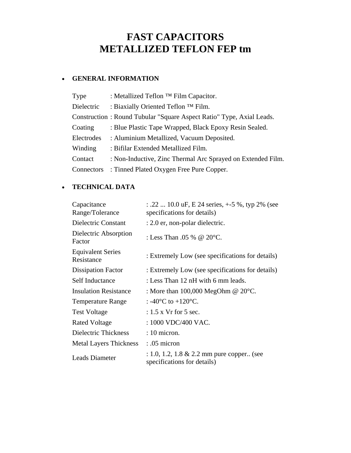# **FAST CAPACITORS METALLIZED TEFLON FEP tm**

## • **GENERAL INFORMATION**

| Type       | : Metallized Teflon <sup>TM</sup> Film Capacitor.                    |
|------------|----------------------------------------------------------------------|
| Dielectric | : Biaxially Oriented Teflon <sup>TM</sup> Film.                      |
|            | Construction: Round Tubular "Square Aspect Ratio" Type, Axial Leads. |
| Coating    | : Blue Plastic Tape Wrapped, Black Epoxy Resin Sealed.               |
| Electrodes | : Aluminium Metallized, Vacuum Deposited.                            |
| Winding    | : Bifilar Extended Metallized Film.                                  |
| Contact    | : Non-Inductive, Zinc Thermal Arc Sprayed on Extended Film.          |
| Connectors | : Tinned Plated Oxygen Free Pure Copper.                             |

## • **TECHNICAL DATA**

| Capacitance<br>Range/Tolerance         | : .22  10.0 uF, E 24 series, $+5\%$ , typ 2% (see<br>specifications for details)     |  |  |  |  |  |
|----------------------------------------|--------------------------------------------------------------------------------------|--|--|--|--|--|
| Dielectric Constant                    | : 2.0 er, non-polar dielectric.                                                      |  |  |  |  |  |
| Dielectric Absorption<br>Factor        | : Less Than .05 % @ 20 $\degree$ C.                                                  |  |  |  |  |  |
| <b>Equivalent Series</b><br>Resistance | : Extremely Low (see specifications for details)                                     |  |  |  |  |  |
| <b>Dissipation Factor</b>              | : Extremely Low (see specifications for details)                                     |  |  |  |  |  |
| <b>Self Inductance</b>                 | : Less Than 12 nH with 6 mm leads.                                                   |  |  |  |  |  |
| <b>Insulation Resistance</b>           | : More than $100,000$ MegOhm @ $20^{\circ}$ C.                                       |  |  |  |  |  |
| <b>Temperature Range</b>               | : -40 $^{\circ}$ C to +120 $^{\circ}$ C.                                             |  |  |  |  |  |
| <b>Test Voltage</b>                    | $: 1.5$ x Vr for 5 sec.                                                              |  |  |  |  |  |
| <b>Rated Voltage</b>                   | : 1000 VDC/400 VAC.                                                                  |  |  |  |  |  |
| Dielectric Thickness                   | $: 10$ micron.                                                                       |  |  |  |  |  |
| <b>Metal Layers Thickness</b>          | $: .05$ micron                                                                       |  |  |  |  |  |
| <b>Leads Diameter</b>                  | $: 1.0, 1.2, 1.8 \& 2.2 \text{ mm pure copper.}$ (see<br>specifications for details) |  |  |  |  |  |